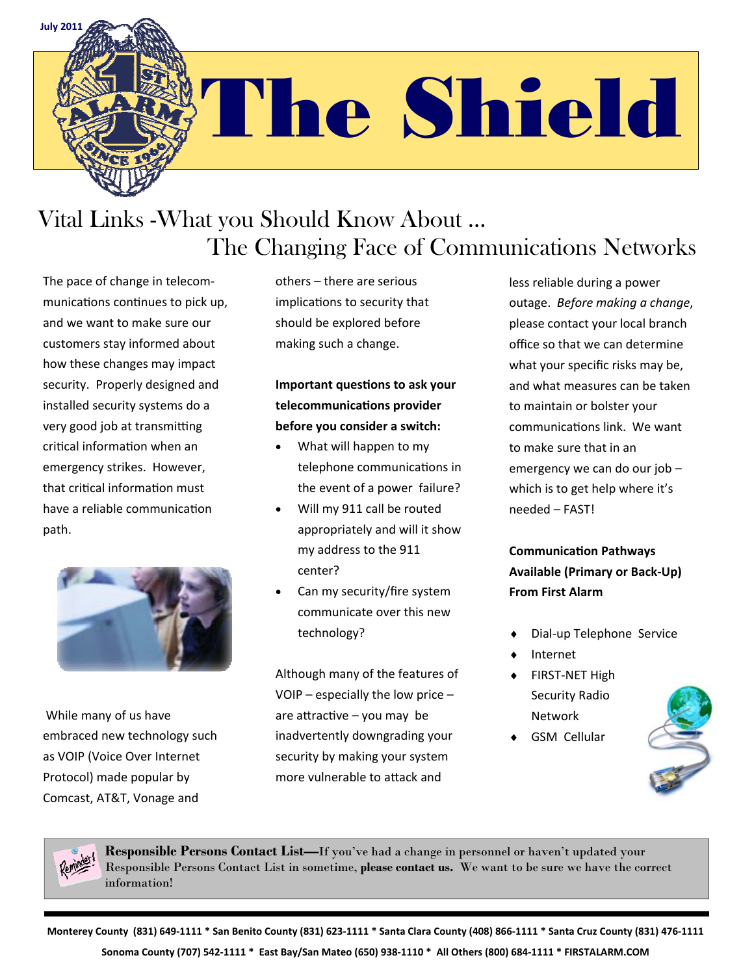

# The Shield

## Vital Links -What you Should Know About … The Changing Face of Communications Networks

The pace of change in telecom‐ munications continues to pick up, and we want to make sure our customers stay informed about how these changes may impact security. Properly designed and installed security systems do a very good job at transmitting critical information when an emergency strikes. However, that critical information must have a reliable communication path.



While many of us have embraced new technology such as VOIP (Voice Over Internet Protocol) made popular by Comcast, AT&T, Vonage and

others – there are serious implications to security that should be explored before making such a change.

**Important quesƟons to ask your telecommunicaƟons provider before you consider a switch:**

- What will happen to my telephone communications in the event of a power failure?
- Will my 911 call be routed appropriately and will it show my address to the 911 center?
- Can my security/fire system communicate over this new technology?

Although many of the features of VOIP – especially the low price – are attractive  $-$  you may be inadvertently downgrading your security by making your system more vulnerable to attack and

less reliable during a power outage. *Before making a change*, please contact your local branch office so that we can determine what your specific risks may be, and what measures can be taken to maintain or bolster your communications link. We want to make sure that in an emergency we can do our job – which is to get help where it's needed – FAST!

**CommunicaƟon Pathways Available (Primary or Back‐Up) From First Alarm** 

- Dial‐up Telephone Service
- Internet
- ◆ FIRST-NET High Security Radio Network
- GSM Cellular





**Responsible Persons Contact List—**If you've had a change in personnel or haven't updated your Responsible Persons Contact List in sometime, **please contact us.** We want to be sure we have the correct information!

Monterey County (831) 649-1111 \* San Benito County (831) 623-1111 \* Santa Clara County (408) 866-1111 \* Santa Cruz County (831) 476-1111 Sonoma County (707) 542-1111 \* East Bay/San Mateo (650) 938-1110 \* All Others (800) 684-1111 \* FIRSTALARM.COM